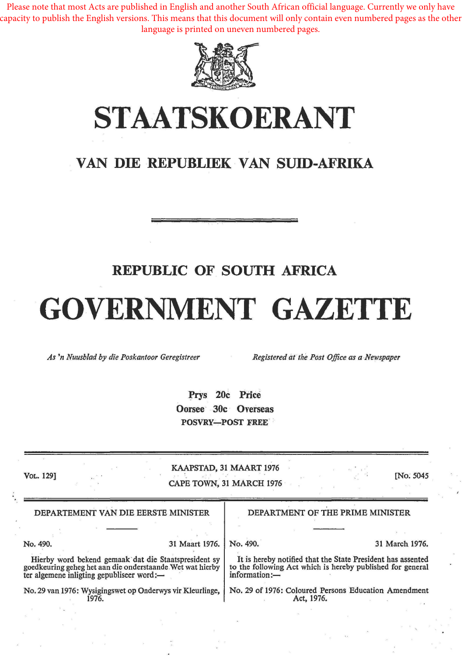Please note that most Acts are published in English and another South African official language. Currently we only have capacity to publish the English versions. This means that this document will only contain even numbered pages as the other language is printed on uneven numbered pages.



## **STAATSKOERANT**

### **VAN DIE REPUBLIEK VAN SUID-AFRIKA**

#### **REPUBLIC OF SOUTH AFRICA**

# GOVERNMENT GAZETTE

*As 'n Nuusb/ad by die Poskantoor Geregistreer Registered at the Post Office as a Newspaper* 

Prys 20c Price Oorsee 30c Overseas POSVRY-POST FREE

| VOL. 129]                                                                                                                                                      |                | KAAPSTAD, 31 MAART 1976<br>CAPE TOWN, 31 MARCH 1976                                                                                        | [No. 5045]     |
|----------------------------------------------------------------------------------------------------------------------------------------------------------------|----------------|--------------------------------------------------------------------------------------------------------------------------------------------|----------------|
| DEPARTEMENT VAN DIE EERSTE MINISTER                                                                                                                            |                | DEPARTMENT OF THE PRIME MINISTER                                                                                                           |                |
|                                                                                                                                                                |                |                                                                                                                                            |                |
| No. 490.                                                                                                                                                       | 31 Maart 1976. | No. 490.                                                                                                                                   | 31 March 1976. |
| Hierby word bekend gemaak dat die Staatspresident sy<br>goedkeuring geheg het aan die onderstaande Wet wat hierby<br>ter algemene inligting gepubliseer word:- |                | It is hereby notified that the State President has assented<br>to the following Act which is hereby published for general<br>information:- |                |
| No. 29 van 1976: Wysigingswet op Onderwys vir Kleurlinge,<br>1976.                                                                                             |                | No. 29 of 1976: Coloured Persons Education Amendment<br>Act, 1976.                                                                         |                |
|                                                                                                                                                                |                |                                                                                                                                            |                |